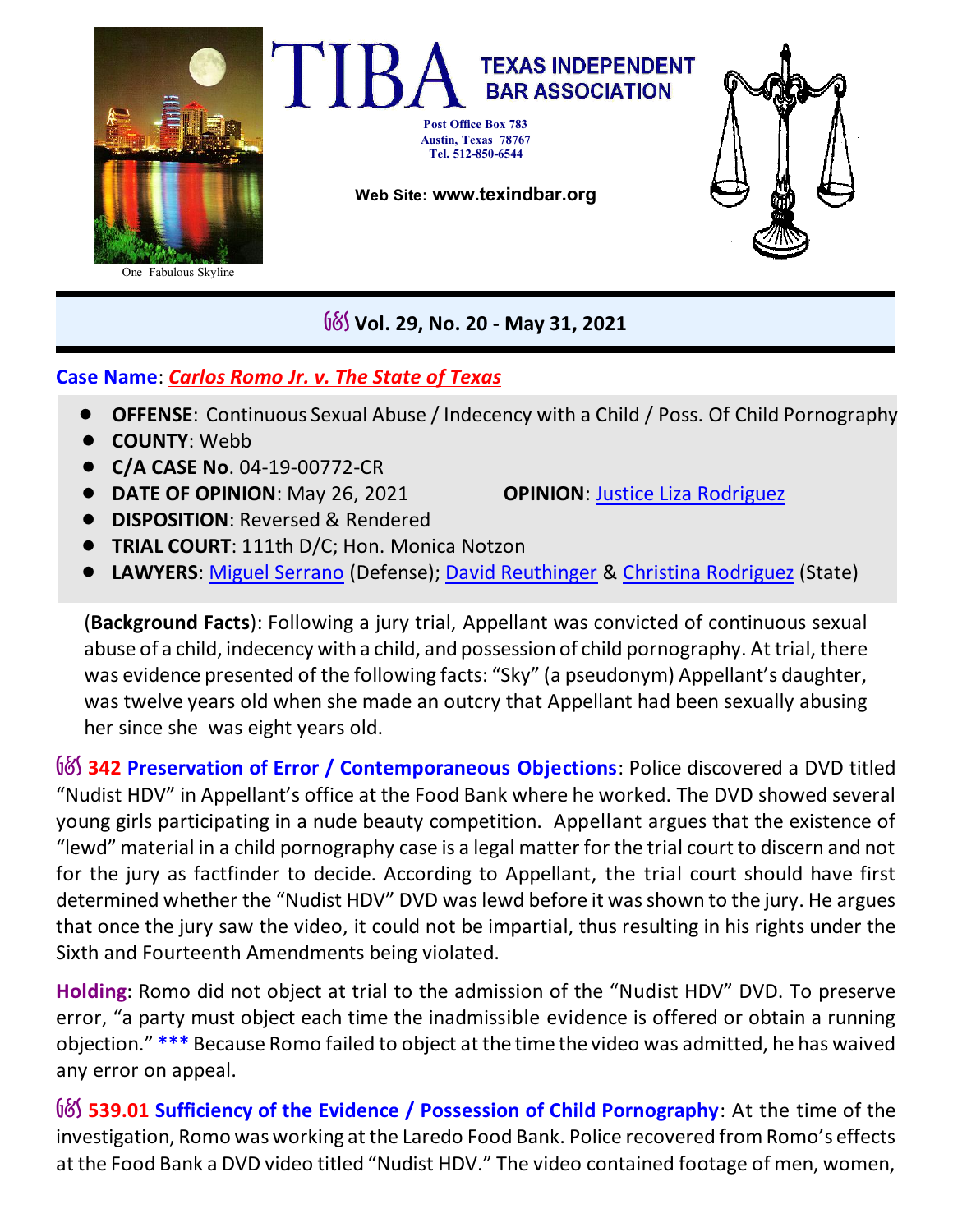

G&S **Vol. 29, No. 20 - May 31, 2021**

## **Case Name**: *Carlos Romo Jr. v. The State of Texas*

- **OFFENSE:** Continuous Sexual Abuse / Indecency with a Child / Poss. Of Child Pornography
- ! **COUNTY**: Webb
- ! **C/A CASE No**. 04-19-00772-CR
- **DATE OF OPINION**: May 26, 2021 **OPINION**: Justice Liza [Rodriguez](https://search.txcourts.gov/SearchMedia.aspx?MediaVersionID=cf31f320-0cdc-4b4b-b72e-a40cf6cc6726&MediaID=e9003387-b717-42d6-b52a-fb982747841f&coa=%22%20+%20this.CurrentWebState.CurrentCourt%20+%20@%22&DT=Opinion)
- ! **DISPOSITION**: Reversed & Rendered
- ! **TRIAL COURT**: 111th D/C; Hon. Monica Notzon
- ! **LAWYERS**: [Miguel Serrano](https://www.texasbar.com/AM/Template.cfm?Section=Find_A_Lawyer&template=/Customsource/MemberDirectory/MemberDirectoryDetail.cfm&ContactID=328500) (Defense); [David Reuthinger](https://www.texasbar.com/AM/Template.cfm?Section=Find_A_Lawyer&template=/Customsource/MemberDirectory/MemberDirectoryDetail.cfm&ContactID=290834) & [Christina Rodriguez](https://www.texasbar.com/AM/Template.cfm?Section=Find_A_Lawyer&template=/Customsource/MemberDirectory/MemberDirectoryDetail.cfm&ContactID=351142) (State)

(**Background Facts**): Following a jury trial, Appellant was convicted of continuous sexual abuse of a child, indecency with a child, and possession of child pornography. At trial, there was evidence presented of the following facts: "Sky" (a pseudonym) Appellant's daughter, was twelve years old when she made an outcry that Appellant had been sexually abusing her since she was eight years old.

G&S **342 Preservation of Error / Contemporaneous Objections**: Police discovered a DVD titled "Nudist HDV" in Appellant's office at the Food Bank where he worked. The DVD showed several young girls participating in a nude beauty competition. Appellant argues that the existence of "lewd" material in a child pornography case is a legal matter for the trial court to discern and not for the jury as factfinder to decide. According to Appellant, the trial court should have first determined whether the "Nudist HDV" DVD was lewd before it was shown to the jury. He argues that once the jury saw the video, it could not be impartial, thus resulting in his rights under the Sixth and Fourteenth Amendments being violated.

**Holding**: Romo did not object at trial to the admission of the "Nudist HDV" DVD. To preserve error, "a party must object each time the inadmissible evidence is offered or obtain a running objection." **\*\*\*** Because Romo failed to object at the time the video was admitted, he has waived any error on appeal.

G&S **539.01 Sufficiency of the Evidence / Possession of Child Pornography**: At the time of the investigation, Romo was working at the Laredo Food Bank. Police recovered from Romo's effects at the Food Bank a DVD video titled "Nudist HDV." The video contained footage of men, women,